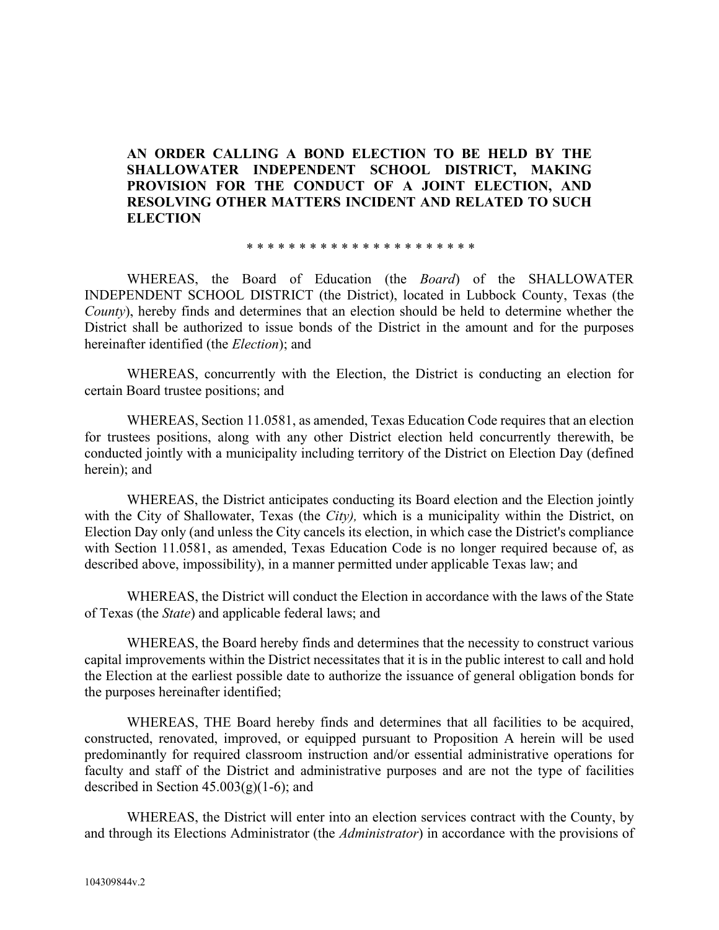### **AN ORDER CALLING A BOND ELECTION TO BE HELD BY THE SHALLOWATER INDEPENDENT SCHOOL DISTRICT, MAKING PROVISION FOR THE CONDUCT OF A JOINT ELECTION, AND RESOLVING OTHER MATTERS INCIDENT AND RELATED TO SUCH ELECTION**

\* \* \* \* \* \* \* \* \* \* \* \* \* \* \* \* \* \* \* \* \* \*

WHEREAS, the Board of Education (the *Board*) of the SHALLOWATER INDEPENDENT SCHOOL DISTRICT (the District), located in Lubbock County, Texas (the *County*), hereby finds and determines that an election should be held to determine whether the District shall be authorized to issue bonds of the District in the amount and for the purposes hereinafter identified (the *Election*); and

WHEREAS, concurrently with the Election, the District is conducting an election for certain Board trustee positions; and

WHEREAS, Section 11.0581, as amended, Texas Education Code requires that an election for trustees positions, along with any other District election held concurrently therewith, be conducted jointly with a municipality including territory of the District on Election Day (defined herein); and

WHEREAS, the District anticipates conducting its Board election and the Election jointly with the City of Shallowater, Texas (the *City),* which is a municipality within the District, on Election Day only (and unless the City cancels its election, in which case the District's compliance with Section 11.0581, as amended, Texas Education Code is no longer required because of, as described above, impossibility), in a manner permitted under applicable Texas law; and

WHEREAS, the District will conduct the Election in accordance with the laws of the State of Texas (the *State*) and applicable federal laws; and

WHEREAS, the Board hereby finds and determines that the necessity to construct various capital improvements within the District necessitates that it is in the public interest to call and hold the Election at the earliest possible date to authorize the issuance of general obligation bonds for the purposes hereinafter identified;

WHEREAS, THE Board hereby finds and determines that all facilities to be acquired, constructed, renovated, improved, or equipped pursuant to Proposition A herein will be used predominantly for required classroom instruction and/or essential administrative operations for faculty and staff of the District and administrative purposes and are not the type of facilities described in Section  $45.003(g)(1-6)$ ; and

WHEREAS, the District will enter into an election services contract with the County, by and through its Elections Administrator (the *Administrator*) in accordance with the provisions of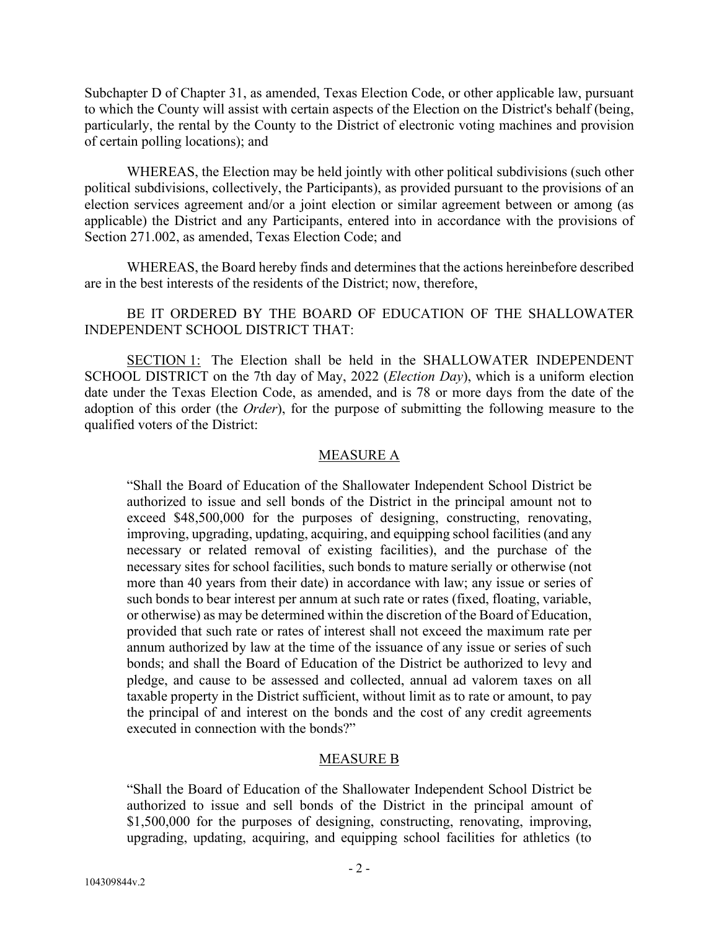Subchapter D of Chapter 31, as amended, Texas Election Code, or other applicable law, pursuant to which the County will assist with certain aspects of the Election on the District's behalf (being, particularly, the rental by the County to the District of electronic voting machines and provision of certain polling locations); and

WHEREAS, the Election may be held jointly with other political subdivisions (such other political subdivisions, collectively, the Participants), as provided pursuant to the provisions of an election services agreement and/or a joint election or similar agreement between or among (as applicable) the District and any Participants, entered into in accordance with the provisions of Section 271.002, as amended, Texas Election Code; and

WHEREAS, the Board hereby finds and determines that the actions hereinbefore described are in the best interests of the residents of the District; now, therefore,

BE IT ORDERED BY THE BOARD OF EDUCATION OF THE SHALLOWATER INDEPENDENT SCHOOL DISTRICT THAT:

SECTION 1: The Election shall be held in the SHALLOWATER INDEPENDENT SCHOOL DISTRICT on the 7th day of May, 2022 (*Election Day*), which is a uniform election date under the Texas Election Code, as amended, and is 78 or more days from the date of the adoption of this order (the *Order*), for the purpose of submitting the following measure to the qualified voters of the District:

### MEASURE A

"Shall the Board of Education of the Shallowater Independent School District be authorized to issue and sell bonds of the District in the principal amount not to exceed \$48,500,000 for the purposes of designing, constructing, renovating, improving, upgrading, updating, acquiring, and equipping school facilities (and any necessary or related removal of existing facilities), and the purchase of the necessary sites for school facilities, such bonds to mature serially or otherwise (not more than 40 years from their date) in accordance with law; any issue or series of such bonds to bear interest per annum at such rate or rates (fixed, floating, variable, or otherwise) as may be determined within the discretion of the Board of Education, provided that such rate or rates of interest shall not exceed the maximum rate per annum authorized by law at the time of the issuance of any issue or series of such bonds; and shall the Board of Education of the District be authorized to levy and pledge, and cause to be assessed and collected, annual ad valorem taxes on all taxable property in the District sufficient, without limit as to rate or amount, to pay the principal of and interest on the bonds and the cost of any credit agreements executed in connection with the bonds?"

### MEASURE B

"Shall the Board of Education of the Shallowater Independent School District be authorized to issue and sell bonds of the District in the principal amount of \$1,500,000 for the purposes of designing, constructing, renovating, improving, upgrading, updating, acquiring, and equipping school facilities for athletics (to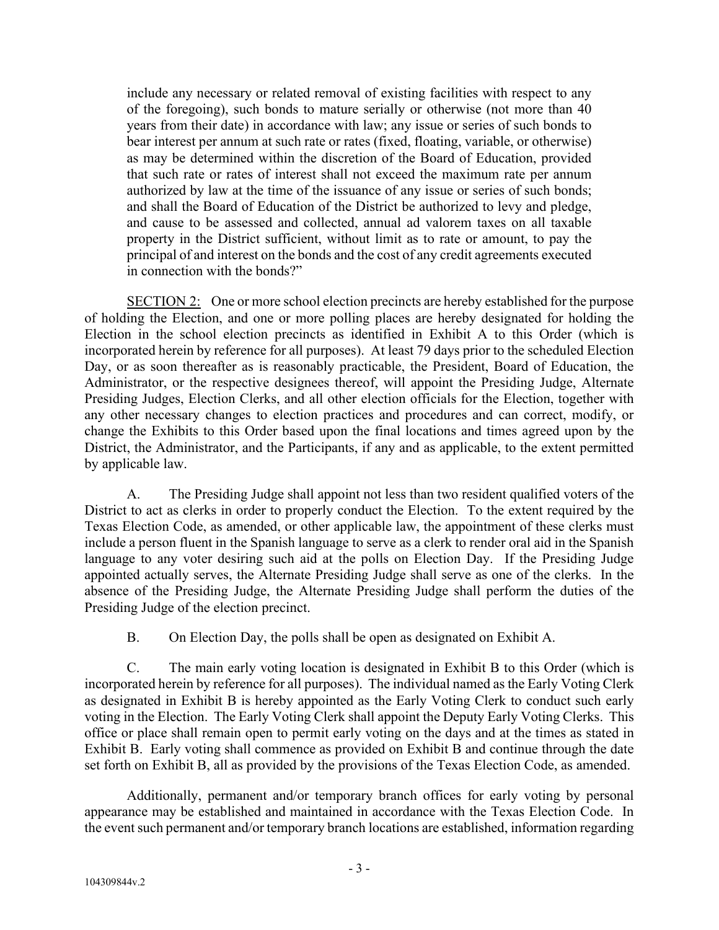include any necessary or related removal of existing facilities with respect to any of the foregoing), such bonds to mature serially or otherwise (not more than 40 years from their date) in accordance with law; any issue or series of such bonds to bear interest per annum at such rate or rates (fixed, floating, variable, or otherwise) as may be determined within the discretion of the Board of Education, provided that such rate or rates of interest shall not exceed the maximum rate per annum authorized by law at the time of the issuance of any issue or series of such bonds; and shall the Board of Education of the District be authorized to levy and pledge, and cause to be assessed and collected, annual ad valorem taxes on all taxable property in the District sufficient, without limit as to rate or amount, to pay the principal of and interest on the bonds and the cost of any credit agreements executed in connection with the bonds?"

SECTION 2: One or more school election precincts are hereby established for the purpose of holding the Election, and one or more polling places are hereby designated for holding the Election in the school election precincts as identified in Exhibit A to this Order (which is incorporated herein by reference for all purposes). At least 79 days prior to the scheduled Election Day, or as soon thereafter as is reasonably practicable, the President, Board of Education, the Administrator, or the respective designees thereof, will appoint the Presiding Judge, Alternate Presiding Judges, Election Clerks, and all other election officials for the Election, together with any other necessary changes to election practices and procedures and can correct, modify, or change the Exhibits to this Order based upon the final locations and times agreed upon by the District, the Administrator, and the Participants, if any and as applicable, to the extent permitted by applicable law.

A. The Presiding Judge shall appoint not less than two resident qualified voters of the District to act as clerks in order to properly conduct the Election. To the extent required by the Texas Election Code, as amended, or other applicable law, the appointment of these clerks must include a person fluent in the Spanish language to serve as a clerk to render oral aid in the Spanish language to any voter desiring such aid at the polls on Election Day. If the Presiding Judge appointed actually serves, the Alternate Presiding Judge shall serve as one of the clerks. In the absence of the Presiding Judge, the Alternate Presiding Judge shall perform the duties of the Presiding Judge of the election precinct.

B. On Election Day, the polls shall be open as designated on Exhibit A.

C. The main early voting location is designated in Exhibit B to this Order (which is incorporated herein by reference for all purposes). The individual named as the Early Voting Clerk as designated in Exhibit B is hereby appointed as the Early Voting Clerk to conduct such early voting in the Election. The Early Voting Clerk shall appoint the Deputy Early Voting Clerks. This office or place shall remain open to permit early voting on the days and at the times as stated in Exhibit B. Early voting shall commence as provided on Exhibit B and continue through the date set forth on Exhibit B, all as provided by the provisions of the Texas Election Code, as amended.

Additionally, permanent and/or temporary branch offices for early voting by personal appearance may be established and maintained in accordance with the Texas Election Code. In the event such permanent and/or temporary branch locations are established, information regarding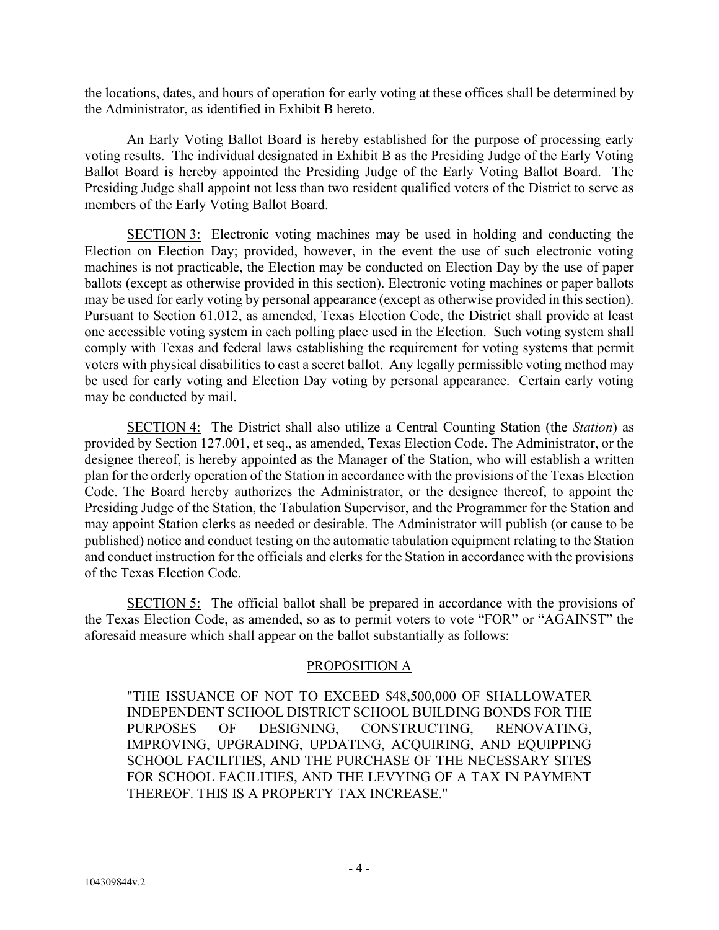the locations, dates, and hours of operation for early voting at these offices shall be determined by the Administrator, as identified in Exhibit B hereto.

An Early Voting Ballot Board is hereby established for the purpose of processing early voting results. The individual designated in Exhibit B as the Presiding Judge of the Early Voting Ballot Board is hereby appointed the Presiding Judge of the Early Voting Ballot Board. The Presiding Judge shall appoint not less than two resident qualified voters of the District to serve as members of the Early Voting Ballot Board.

SECTION 3: Electronic voting machines may be used in holding and conducting the Election on Election Day; provided, however, in the event the use of such electronic voting machines is not practicable, the Election may be conducted on Election Day by the use of paper ballots (except as otherwise provided in this section). Electronic voting machines or paper ballots may be used for early voting by personal appearance (except as otherwise provided in this section). Pursuant to Section 61.012, as amended, Texas Election Code, the District shall provide at least one accessible voting system in each polling place used in the Election. Such voting system shall comply with Texas and federal laws establishing the requirement for voting systems that permit voters with physical disabilities to cast a secret ballot. Any legally permissible voting method may be used for early voting and Election Day voting by personal appearance. Certain early voting may be conducted by mail.

SECTION 4: The District shall also utilize a Central Counting Station (the *Station*) as provided by Section 127.001, et seq., as amended, Texas Election Code. The Administrator, or the designee thereof, is hereby appointed as the Manager of the Station, who will establish a written plan for the orderly operation of the Station in accordance with the provisions of the Texas Election Code. The Board hereby authorizes the Administrator, or the designee thereof, to appoint the Presiding Judge of the Station, the Tabulation Supervisor, and the Programmer for the Station and may appoint Station clerks as needed or desirable. The Administrator will publish (or cause to be published) notice and conduct testing on the automatic tabulation equipment relating to the Station and conduct instruction for the officials and clerks for the Station in accordance with the provisions of the Texas Election Code.

SECTION 5: The official ballot shall be prepared in accordance with the provisions of the Texas Election Code, as amended, so as to permit voters to vote "FOR" or "AGAINST" the aforesaid measure which shall appear on the ballot substantially as follows:

### PROPOSITION A

"THE ISSUANCE OF NOT TO EXCEED \$48,500,000 OF SHALLOWATER INDEPENDENT SCHOOL DISTRICT SCHOOL BUILDING BONDS FOR THE PURPOSES OF DESIGNING, CONSTRUCTING, RENOVATING, IMPROVING, UPGRADING, UPDATING, ACQUIRING, AND EQUIPPING SCHOOL FACILITIES, AND THE PURCHASE OF THE NECESSARY SITES FOR SCHOOL FACILITIES, AND THE LEVYING OF A TAX IN PAYMENT THEREOF. THIS IS A PROPERTY TAX INCREASE."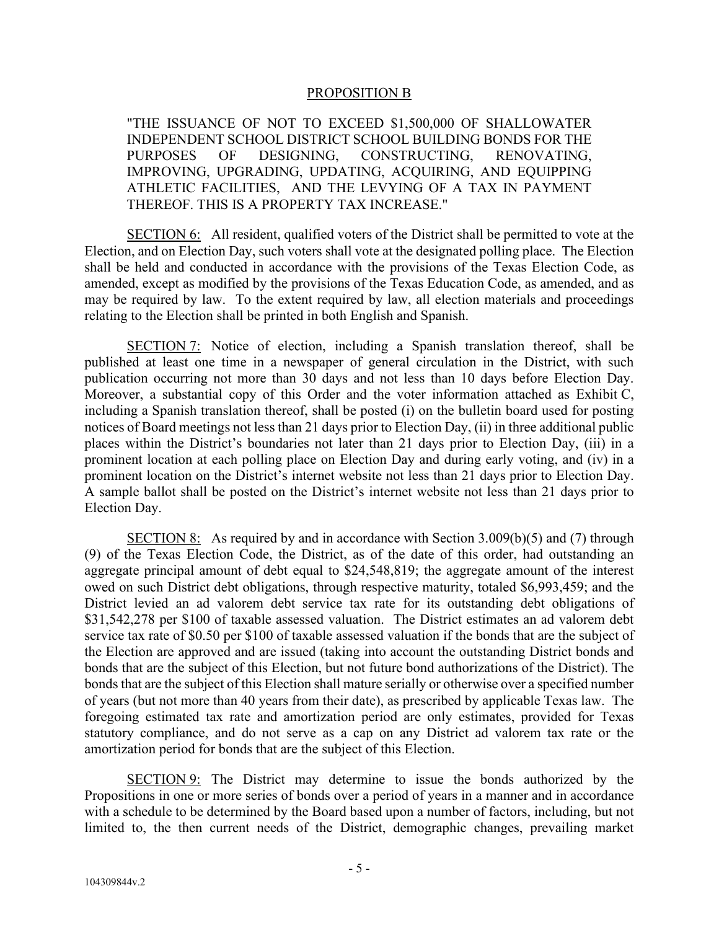#### PROPOSITION B

"THE ISSUANCE OF NOT TO EXCEED \$1,500,000 OF SHALLOWATER INDEPENDENT SCHOOL DISTRICT SCHOOL BUILDING BONDS FOR THE PURPOSES OF DESIGNING, CONSTRUCTING, RENOVATING, IMPROVING, UPGRADING, UPDATING, ACQUIRING, AND EQUIPPING ATHLETIC FACILITIES, AND THE LEVYING OF A TAX IN PAYMENT THEREOF. THIS IS A PROPERTY TAX INCREASE."

SECTION 6: All resident, qualified voters of the District shall be permitted to vote at the Election, and on Election Day, such voters shall vote at the designated polling place. The Election shall be held and conducted in accordance with the provisions of the Texas Election Code, as amended, except as modified by the provisions of the Texas Education Code, as amended, and as may be required by law. To the extent required by law, all election materials and proceedings relating to the Election shall be printed in both English and Spanish.

SECTION 7: Notice of election, including a Spanish translation thereof, shall be published at least one time in a newspaper of general circulation in the District, with such publication occurring not more than 30 days and not less than 10 days before Election Day. Moreover, a substantial copy of this Order and the voter information attached as Exhibit C, including a Spanish translation thereof, shall be posted (i) on the bulletin board used for posting notices of Board meetings not less than 21 days prior to Election Day, (ii) in three additional public places within the District's boundaries not later than 21 days prior to Election Day, (iii) in a prominent location at each polling place on Election Day and during early voting, and (iv) in a prominent location on the District's internet website not less than 21 days prior to Election Day. A sample ballot shall be posted on the District's internet website not less than 21 days prior to Election Day.

SECTION 8: As required by and in accordance with Section 3.009(b)(5) and (7) through (9) of the Texas Election Code, the District, as of the date of this order, had outstanding an aggregate principal amount of debt equal to \$24,548,819; the aggregate amount of the interest owed on such District debt obligations, through respective maturity, totaled \$6,993,459; and the District levied an ad valorem debt service tax rate for its outstanding debt obligations of \$31,542,278 per \$100 of taxable assessed valuation. The District estimates an ad valorem debt service tax rate of \$0.50 per \$100 of taxable assessed valuation if the bonds that are the subject of the Election are approved and are issued (taking into account the outstanding District bonds and bonds that are the subject of this Election, but not future bond authorizations of the District). The bonds that are the subject of this Election shall mature serially or otherwise over a specified number of years (but not more than 40 years from their date), as prescribed by applicable Texas law. The foregoing estimated tax rate and amortization period are only estimates, provided for Texas statutory compliance, and do not serve as a cap on any District ad valorem tax rate or the amortization period for bonds that are the subject of this Election.

SECTION 9: The District may determine to issue the bonds authorized by the Propositions in one or more series of bonds over a period of years in a manner and in accordance with a schedule to be determined by the Board based upon a number of factors, including, but not limited to, the then current needs of the District, demographic changes, prevailing market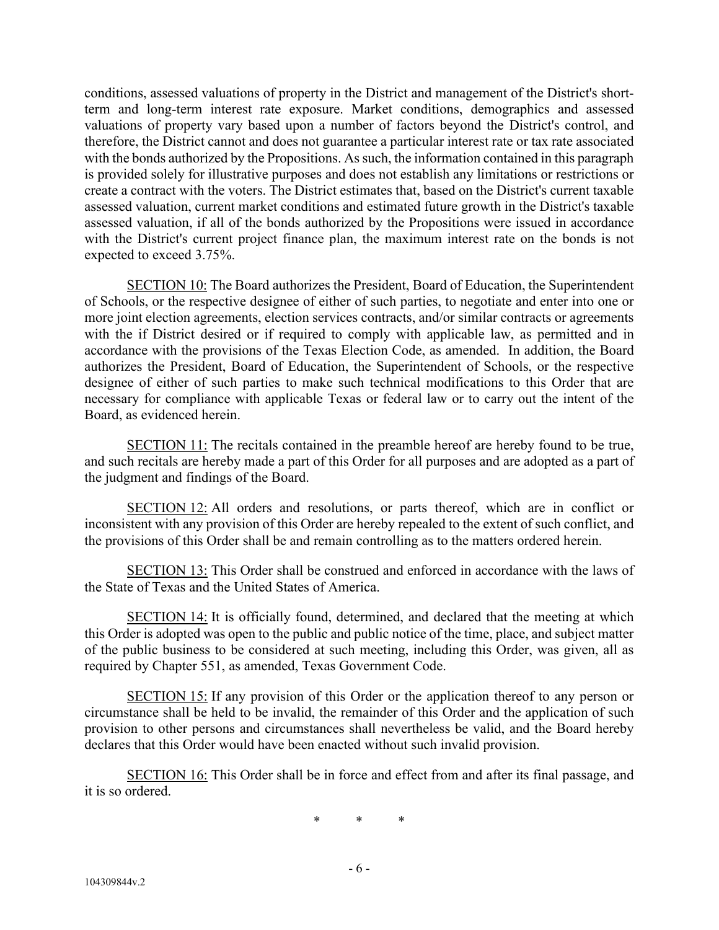conditions, assessed valuations of property in the District and management of the District's shortterm and long-term interest rate exposure. Market conditions, demographics and assessed valuations of property vary based upon a number of factors beyond the District's control, and therefore, the District cannot and does not guarantee a particular interest rate or tax rate associated with the bonds authorized by the Propositions. As such, the information contained in this paragraph is provided solely for illustrative purposes and does not establish any limitations or restrictions or create a contract with the voters. The District estimates that, based on the District's current taxable assessed valuation, current market conditions and estimated future growth in the District's taxable assessed valuation, if all of the bonds authorized by the Propositions were issued in accordance with the District's current project finance plan, the maximum interest rate on the bonds is not expected to exceed 3.75%.

SECTION 10: The Board authorizes the President, Board of Education, the Superintendent of Schools, or the respective designee of either of such parties, to negotiate and enter into one or more joint election agreements, election services contracts, and/or similar contracts or agreements with the if District desired or if required to comply with applicable law, as permitted and in accordance with the provisions of the Texas Election Code, as amended. In addition, the Board authorizes the President, Board of Education, the Superintendent of Schools, or the respective designee of either of such parties to make such technical modifications to this Order that are necessary for compliance with applicable Texas or federal law or to carry out the intent of the Board, as evidenced herein.

SECTION 11: The recitals contained in the preamble hereof are hereby found to be true, and such recitals are hereby made a part of this Order for all purposes and are adopted as a part of the judgment and findings of the Board.

SECTION 12: All orders and resolutions, or parts thereof, which are in conflict or inconsistent with any provision of this Order are hereby repealed to the extent of such conflict, and the provisions of this Order shall be and remain controlling as to the matters ordered herein.

SECTION 13: This Order shall be construed and enforced in accordance with the laws of the State of Texas and the United States of America.

SECTION 14: It is officially found, determined, and declared that the meeting at which this Order is adopted was open to the public and public notice of the time, place, and subject matter of the public business to be considered at such meeting, including this Order, was given, all as required by Chapter 551, as amended, Texas Government Code.

SECTION 15: If any provision of this Order or the application thereof to any person or circumstance shall be held to be invalid, the remainder of this Order and the application of such provision to other persons and circumstances shall nevertheless be valid, and the Board hereby declares that this Order would have been enacted without such invalid provision.

SECTION 16: This Order shall be in force and effect from and after its final passage, and it is so ordered.

\* \* \*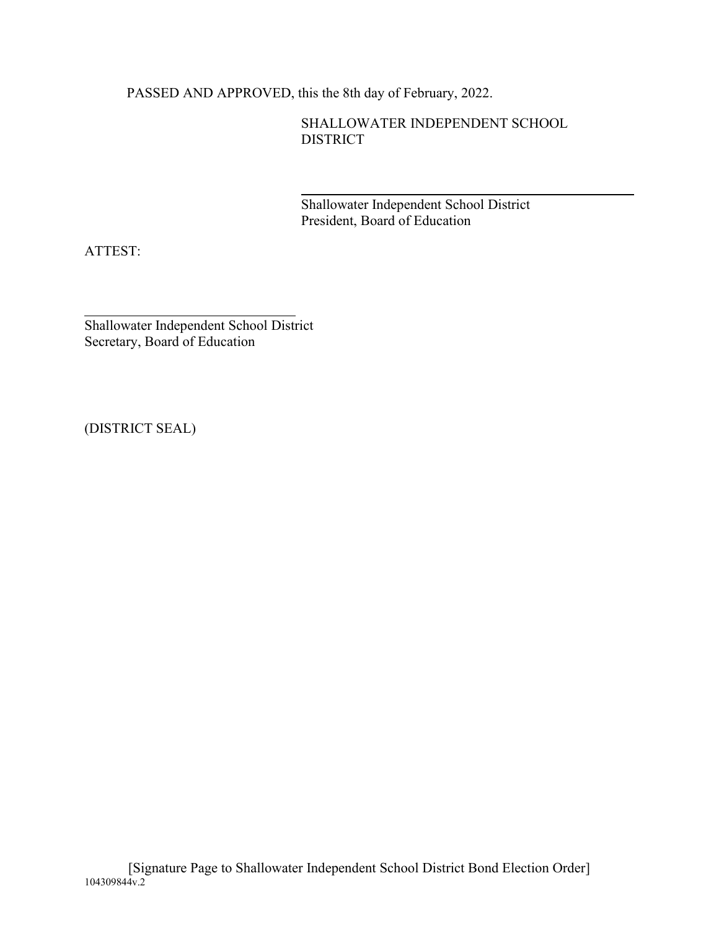PASSED AND APPROVED, this the 8th day of February, 2022.

SHALLOWATER INDEPENDENT SCHOOL DISTRICT

Shallowater Independent School District President, Board of Education

ATTEST:

Shallowater Independent School District Secretary, Board of Education

(DISTRICT SEAL)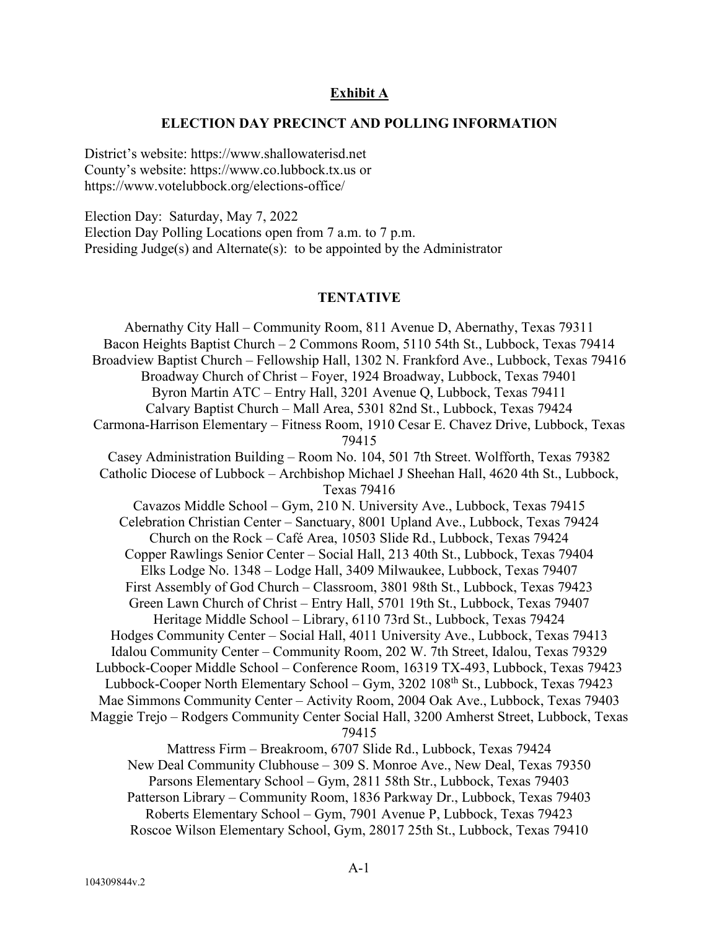#### **Exhibit A**

#### **ELECTION DAY PRECINCT AND POLLING INFORMATION**

District's website: https://www.shallowaterisd.net County's website: https://www.co.lubbock.tx.us or https://www.votelubbock.org/elections-office/

Election Day: Saturday, May 7, 2022 Election Day Polling Locations open from 7 a.m. to 7 p.m. Presiding Judge(s) and Alternate(s): to be appointed by the Administrator

#### **TENTATIVE**

Abernathy City Hall – Community Room, 811 Avenue D, Abernathy, Texas 79311 Bacon Heights Baptist Church – 2 Commons Room, 5110 54th St., Lubbock, Texas 79414 Broadview Baptist Church – Fellowship Hall, 1302 N. Frankford Ave., Lubbock, Texas 79416 Broadway Church of Christ – Foyer, 1924 Broadway, Lubbock, Texas 79401 Byron Martin ATC – Entry Hall, 3201 Avenue Q, Lubbock, Texas 79411 Calvary Baptist Church – Mall Area, 5301 82nd St., Lubbock, Texas 79424 Carmona-Harrison Elementary – Fitness Room, 1910 Cesar E. Chavez Drive, Lubbock, Texas 79415 Casey Administration Building – Room No. 104, 501 7th Street. Wolfforth, Texas 79382 Catholic Diocese of Lubbock – Archbishop Michael J Sheehan Hall, 4620 4th St., Lubbock, Texas 79416 Cavazos Middle School – Gym, 210 N. University Ave., Lubbock, Texas 79415 Celebration Christian Center – Sanctuary, 8001 Upland Ave., Lubbock, Texas 79424 Church on the Rock – Café Area, 10503 Slide Rd., Lubbock, Texas 79424 Copper Rawlings Senior Center – Social Hall, 213 40th St., Lubbock, Texas 79404 Elks Lodge No. 1348 – Lodge Hall, 3409 Milwaukee, Lubbock, Texas 79407 First Assembly of God Church – Classroom, 3801 98th St., Lubbock, Texas 79423 Green Lawn Church of Christ – Entry Hall, 5701 19th St., Lubbock, Texas 79407 Heritage Middle School – Library, 6110 73rd St., Lubbock, Texas 79424 Hodges Community Center – Social Hall, 4011 University Ave., Lubbock, Texas 79413 Idalou Community Center – Community Room, 202 W. 7th Street, Idalou, Texas 79329 Lubbock-Cooper Middle School – Conference Room, 16319 TX-493, Lubbock, Texas 79423 Lubbock-Cooper North Elementary School – Gym, 3202 108<sup>th</sup> St., Lubbock, Texas 79423 Mae Simmons Community Center – Activity Room, 2004 Oak Ave., Lubbock, Texas 79403 Maggie Trejo – Rodgers Community Center Social Hall, 3200 Amherst Street, Lubbock, Texas 79415 Mattress Firm – Breakroom, 6707 Slide Rd., Lubbock, Texas 79424 New Deal Community Clubhouse – 309 S. Monroe Ave., New Deal, Texas 79350 Parsons Elementary School – Gym, 2811 58th Str., Lubbock, Texas 79403 Patterson Library – Community Room, 1836 Parkway Dr., Lubbock, Texas 79403 Roberts Elementary School – Gym, 7901 Avenue P, Lubbock, Texas 79423

Roscoe Wilson Elementary School, Gym, 28017 25th St., Lubbock, Texas 79410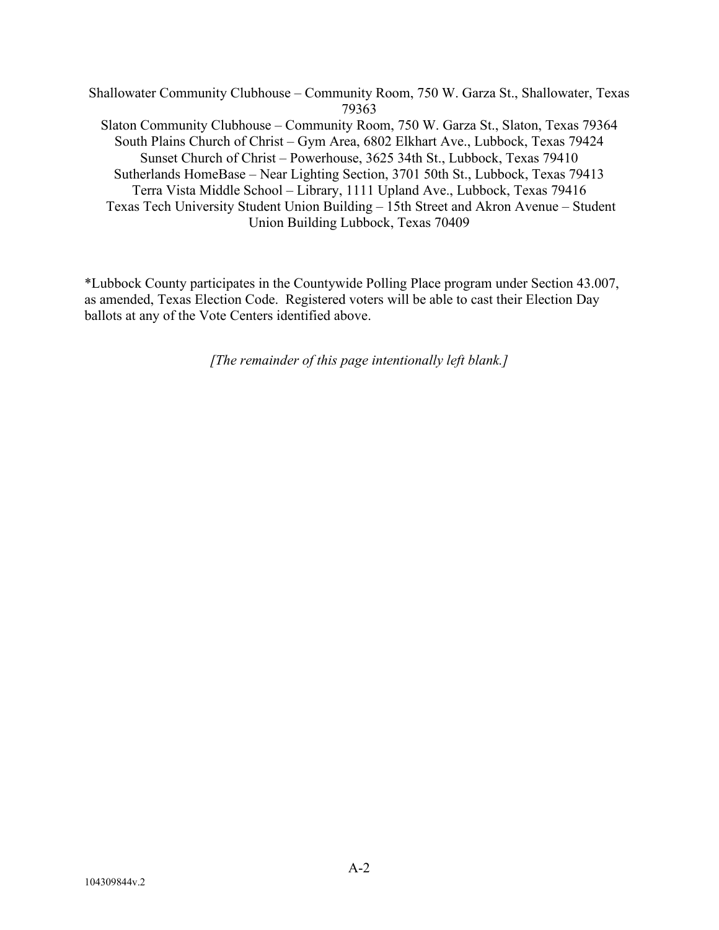Shallowater Community Clubhouse – Community Room, 750 W. Garza St., Shallowater, Texas 79363 Slaton Community Clubhouse – Community Room, 750 W. Garza St., Slaton, Texas 79364 South Plains Church of Christ – Gym Area, 6802 Elkhart Ave., Lubbock, Texas 79424 Sunset Church of Christ – Powerhouse, 3625 34th St., Lubbock, Texas 79410 Sutherlands HomeBase – Near Lighting Section, 3701 50th St., Lubbock, Texas 79413 Terra Vista Middle School – Library, 1111 Upland Ave., Lubbock, Texas 79416 Texas Tech University Student Union Building – 15th Street and Akron Avenue – Student Union Building Lubbock, Texas 70409

\*Lubbock County participates in the Countywide Polling Place program under Section 43.007, as amended, Texas Election Code. Registered voters will be able to cast their Election Day ballots at any of the Vote Centers identified above.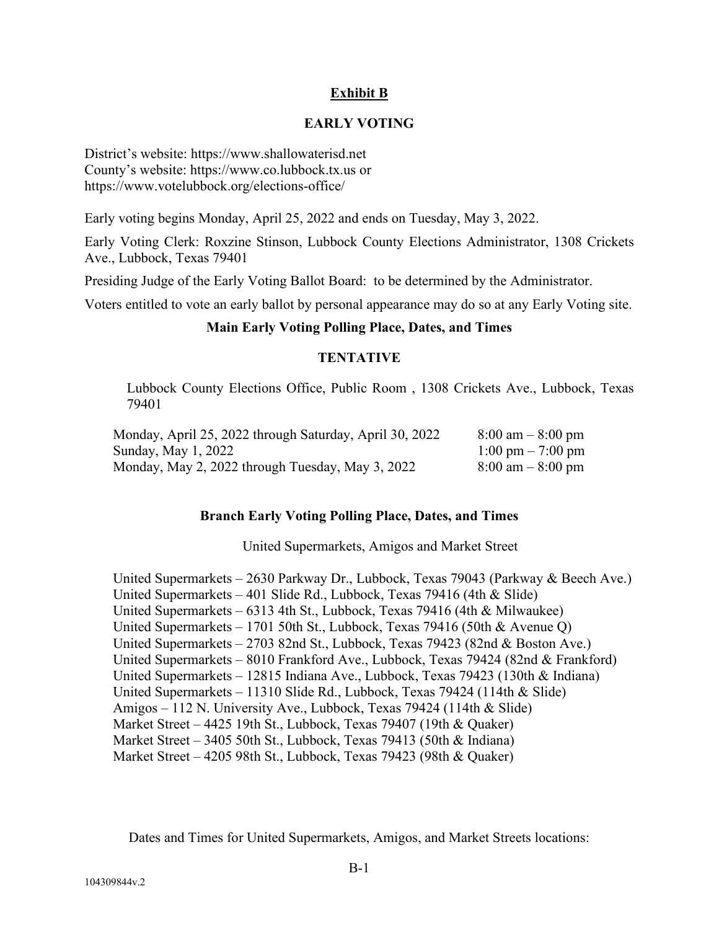## **Exhibit B**

#### **EARLY VOTING**

District's website: https://www.shallowaterisd.net County's website: https://www.co.lubbock.tx.us or https://www.votelubbock.org/elections-office/

Early voting begins Monday, April 25, 2022 and ends on Tuesday, May 3, 2022.

Early Voting Clerk: Roxzine Stinson, Lubbock County Elections Administrator, 1308 Crickets Ave., Lubbock, Texas 79401

Presiding Judge of the Early Voting Ballot Board: to be determined by the Administrator.

Voters entitled to vote an early ballot by personal appearance may do so at any Early Voting site.

#### **Main Early Voting Polling Place, Dates, and Times**

#### **TENTATIVE**

Lubbock County Elections Office, Public Room , 1308 Crickets Ave., Lubbock, Texas 79401

| Monday, April 25, 2022 through Saturday, April 30, 2022 | $8:00 \text{ am} - 8:00 \text{ pm}$ |
|---------------------------------------------------------|-------------------------------------|
| Sunday, May 1, 2022                                     | $1:00 \text{ pm} - 7:00 \text{ pm}$ |
| Monday, May 2, 2022 through Tuesday, May 3, 2022        | $8:00 \text{ am} - 8:00 \text{ pm}$ |

#### **Branch Early Voting Polling Place, Dates, and Times**

United Supermarkets, Amigos and Market Street

United Supermarkets – 2630 Parkway Dr., Lubbock, Texas 79043 (Parkway & Beech Ave.) United Supermarkets – 401 Slide Rd., Lubbock, Texas 79416 (4th & Slide) United Supermarkets – 6313 4th St., Lubbock, Texas 79416 (4th & Milwaukee) United Supermarkets – 1701 50th St., Lubbock, Texas 79416 (50th & Avenue Q) United Supermarkets – 2703 82nd St., Lubbock, Texas 79423 (82nd & Boston Ave.) United Supermarkets – 8010 Frankford Ave., Lubbock, Texas 79424 (82nd & Frankford) United Supermarkets – 12815 Indiana Ave., Lubbock, Texas 79423 (130th & Indiana) United Supermarkets – 11310 Slide Rd., Lubbock, Texas 79424 (114th & Slide) Amigos – 112 N. University Ave., Lubbock, Texas 79424 (114th & Slide) Market Street – 4425 19th St., Lubbock, Texas 79407 (19th & Quaker) Market Street – 3405 50th St., Lubbock, Texas 79413 (50th & Indiana) Market Street – 4205 98th St., Lubbock, Texas 79423 (98th & Quaker)

Dates and Times for United Supermarkets, Amigos, and Market Streets locations: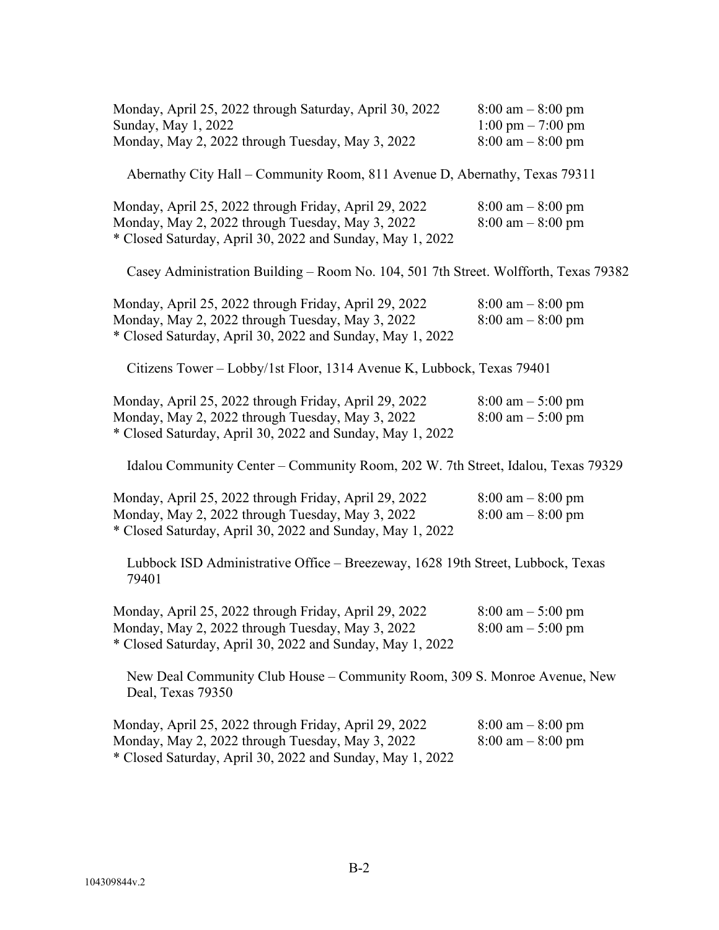| Monday, April 25, 2022 through Saturday, April 30, 2022<br>Sunday, May 1, 2022<br>Monday, May 2, 2022 through Tuesday, May 3, 2022                                     | $8:00 \text{ am} - 8:00 \text{ pm}$<br>$1:00 \text{ pm} - 7:00 \text{ pm}$<br>$8:00 \text{ am} - 8:00 \text{ pm}$ |  |  |
|------------------------------------------------------------------------------------------------------------------------------------------------------------------------|-------------------------------------------------------------------------------------------------------------------|--|--|
|                                                                                                                                                                        | Abernathy City Hall – Community Room, 811 Avenue D, Abernathy, Texas 79311                                        |  |  |
| Monday, April 25, 2022 through Friday, April 29, 2022<br>Monday, May 2, 2022 through Tuesday, May 3, 2022<br>* Closed Saturday, April 30, 2022 and Sunday, May 1, 2022 | $8:00 \text{ am} - 8:00 \text{ pm}$<br>$8:00 \text{ am} - 8:00 \text{ pm}$                                        |  |  |
| Casey Administration Building - Room No. 104, 501 7th Street. Wolfforth, Texas 79382                                                                                   |                                                                                                                   |  |  |
| Monday, April 25, 2022 through Friday, April 29, 2022<br>Monday, May 2, 2022 through Tuesday, May 3, 2022<br>* Closed Saturday, April 30, 2022 and Sunday, May 1, 2022 | $8:00 \text{ am} - 8:00 \text{ pm}$<br>$8:00 \text{ am} - 8:00 \text{ pm}$                                        |  |  |
| Citizens Tower - Lobby/1st Floor, 1314 Avenue K, Lubbock, Texas 79401                                                                                                  |                                                                                                                   |  |  |
| Monday, April 25, 2022 through Friday, April 29, 2022<br>Monday, May 2, 2022 through Tuesday, May 3, 2022<br>* Closed Saturday, April 30, 2022 and Sunday, May 1, 2022 | $8:00 \text{ am} - 5:00 \text{ pm}$<br>$8:00 \text{ am} - 5:00 \text{ pm}$                                        |  |  |
| Idalou Community Center – Community Room, 202 W. 7th Street, Idalou, Texas 79329                                                                                       |                                                                                                                   |  |  |
| Monday, April 25, 2022 through Friday, April 29, 2022<br>Monday, May 2, 2022 through Tuesday, May 3, 2022<br>* Closed Saturday, April 30, 2022 and Sunday, May 1, 2022 | $8:00 \text{ am} - 8:00 \text{ pm}$<br>$8:00 \text{ am} - 8:00 \text{ pm}$                                        |  |  |
| Lubbock ISD Administrative Office - Breezeway, 1628 19th Street, Lubbock, Texas<br>79401                                                                               |                                                                                                                   |  |  |
| Monday, April 25, 2022 through Friday, April 29, 2022<br>Monday, May 2, 2022 through Tuesday, May 3, 2022<br>* Closed Saturday, April 30, 2022 and Sunday, May 1, 2022 | $8:00 \text{ am} - 5:00 \text{ pm}$<br>$8:00 \text{ am} - 5:00 \text{ pm}$                                        |  |  |
| New Deal Community Club House – Community Room, 309 S. Monroe Avenue, New<br>Deal, Texas 79350                                                                         |                                                                                                                   |  |  |
| Monday, April 25, 2022 through Friday, April 29, 2022<br>Monday, May 2, 2022 through Tuesday, May 3, 2022<br>* Closed Saturday, April 30, 2022 and Sunday, May 1, 2022 | $8:00 \text{ am} - 8:00 \text{ pm}$<br>$8:00 \text{ am} - 8:00 \text{ pm}$                                        |  |  |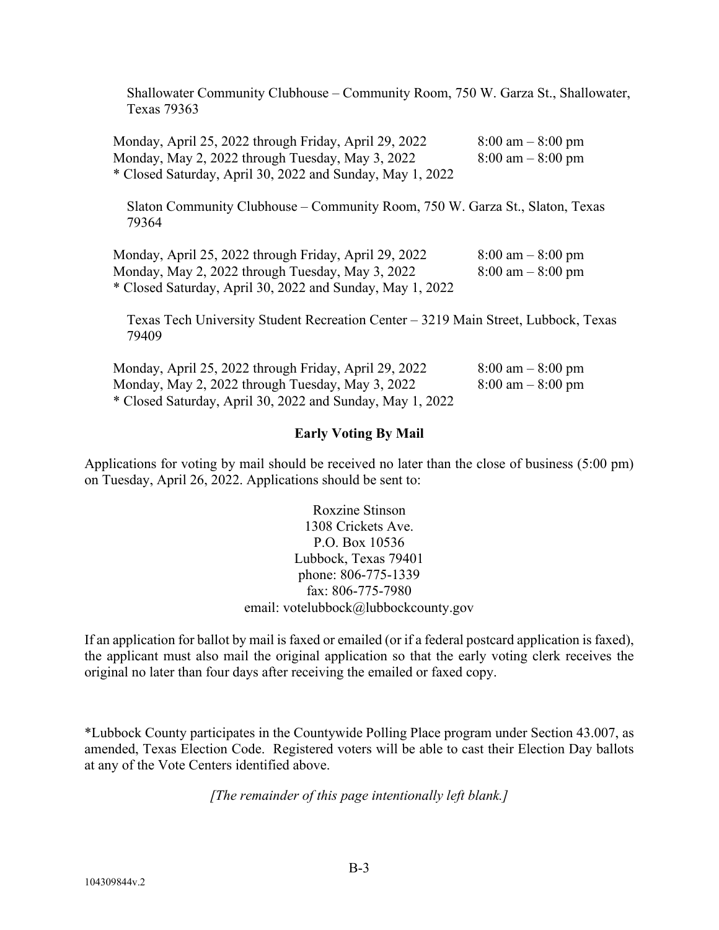Shallowater Community Clubhouse – Community Room, 750 W. Garza St., Shallowater, Texas 79363

Monday, April 25, 2022 through Friday, April 29, 2022 8:00 am - 8:00 pm Monday, May 2, 2022 through Tuesday, May 3, 2022  $8:00 \text{ am} - 8:00 \text{ pm}$ \* Closed Saturday, April 30, 2022 and Sunday, May 1, 2022

Slaton Community Clubhouse – Community Room, 750 W. Garza St., Slaton, Texas 79364

Monday, April 25, 2022 through Friday, April 29, 2022 8:00 am – 8:00 pm Monday, May 2, 2022 through Tuesday, May 3, 2022  $8:00 \text{ am} - 8:00 \text{ pm}$ \* Closed Saturday, April 30, 2022 and Sunday, May 1, 2022

Texas Tech University Student Recreation Center – 3219 Main Street, Lubbock, Texas 79409

| Monday, April 25, 2022 through Friday, April 29, 2022     | $8:00 \text{ am} - 8:00 \text{ pm}$ |
|-----------------------------------------------------------|-------------------------------------|
| Monday, May 2, 2022 through Tuesday, May 3, 2022          | $8:00 \text{ am} - 8:00 \text{ pm}$ |
| * Closed Saturday, April 30, 2022 and Sunday, May 1, 2022 |                                     |

### **Early Voting By Mail**

Applications for voting by mail should be received no later than the close of business (5:00 pm) on Tuesday, April 26, 2022. Applications should be sent to:

> Roxzine Stinson 1308 Crickets Ave. P.O. Box 10536 Lubbock, Texas 79401 phone: 806-775-1339 fax: 806-775-7980 email: votelubbock@lubbockcounty.gov

If an application for ballot by mail is faxed or emailed (or if a federal postcard application is faxed), the applicant must also mail the original application so that the early voting clerk receives the original no later than four days after receiving the emailed or faxed copy.

\*Lubbock County participates in the Countywide Polling Place program under Section 43.007, as amended, Texas Election Code. Registered voters will be able to cast their Election Day ballots at any of the Vote Centers identified above.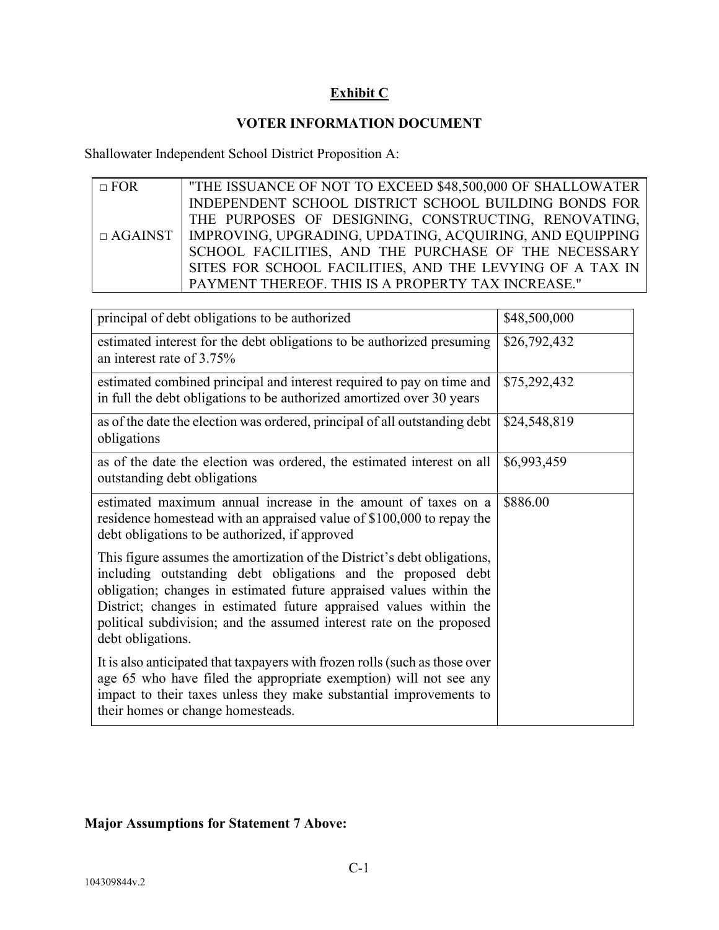# **Exhibit C**

## **VOTER INFORMATION DOCUMENT**

Shallowater Independent School District Proposition A:

| $\Box$ FOR     | "THE ISSUANCE OF NOT TO EXCEED \$48,500,000 OF SHALLOWATER |
|----------------|------------------------------------------------------------|
|                | INDEPENDENT SCHOOL DISTRICT SCHOOL BUILDING BONDS FOR      |
|                | THE PURPOSES OF DESIGNING, CONSTRUCTING, RENOVATING,       |
| $\Box$ AGAINST | IMPROVING, UPGRADING, UPDATING, ACQUIRING, AND EQUIPPING   |
|                | SCHOOL FACILITIES, AND THE PURCHASE OF THE NECESSARY       |
|                | SITES FOR SCHOOL FACILITIES, AND THE LEVYING OF A TAX IN   |
|                | PAYMENT THEREOF. THIS IS A PROPERTY TAX INCREASE."         |

| principal of debt obligations to be authorized                                                                                                                                                                                                                                                                                                                                    | \$48,500,000 |
|-----------------------------------------------------------------------------------------------------------------------------------------------------------------------------------------------------------------------------------------------------------------------------------------------------------------------------------------------------------------------------------|--------------|
| estimated interest for the debt obligations to be authorized presuming<br>an interest rate of 3.75%                                                                                                                                                                                                                                                                               | \$26,792,432 |
| estimated combined principal and interest required to pay on time and<br>in full the debt obligations to be authorized amortized over 30 years                                                                                                                                                                                                                                    | \$75,292,432 |
| as of the date the election was ordered, principal of all outstanding debt<br>obligations                                                                                                                                                                                                                                                                                         | \$24,548,819 |
| as of the date the election was ordered, the estimated interest on all<br>outstanding debt obligations                                                                                                                                                                                                                                                                            | \$6,993,459  |
| estimated maximum annual increase in the amount of taxes on a<br>residence homestead with an appraised value of \$100,000 to repay the<br>debt obligations to be authorized, if approved                                                                                                                                                                                          | \$886.00     |
| This figure assumes the amortization of the District's debt obligations,<br>including outstanding debt obligations and the proposed debt<br>obligation; changes in estimated future appraised values within the<br>District; changes in estimated future appraised values within the<br>political subdivision; and the assumed interest rate on the proposed<br>debt obligations. |              |
| It is also anticipated that taxpayers with frozen rolls (such as those over<br>age 65 who have filed the appropriate exemption) will not see any<br>impact to their taxes unless they make substantial improvements to<br>their homes or change homesteads.                                                                                                                       |              |

# **Major Assumptions for Statement 7 Above:**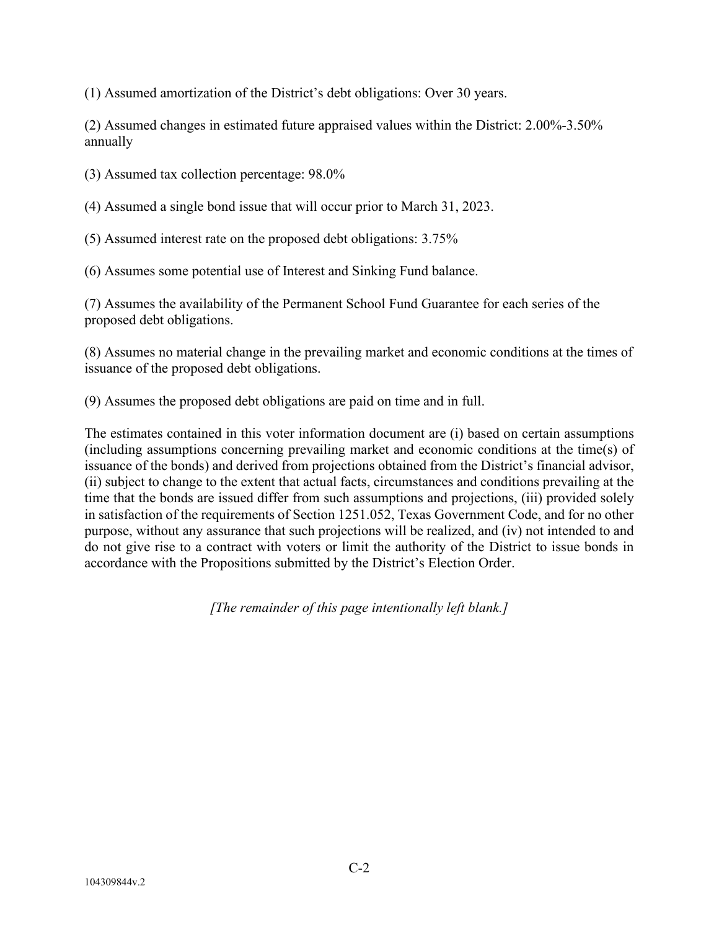(1) Assumed amortization of the District's debt obligations: Over 30 years.

(2) Assumed changes in estimated future appraised values within the District: 2.00%-3.50% annually

(3) Assumed tax collection percentage: 98.0%

(4) Assumed a single bond issue that will occur prior to March 31, 2023.

(5) Assumed interest rate on the proposed debt obligations: 3.75%

(6) Assumes some potential use of Interest and Sinking Fund balance.

(7) Assumes the availability of the Permanent School Fund Guarantee for each series of the proposed debt obligations.

(8) Assumes no material change in the prevailing market and economic conditions at the times of issuance of the proposed debt obligations.

(9) Assumes the proposed debt obligations are paid on time and in full.

The estimates contained in this voter information document are (i) based on certain assumptions (including assumptions concerning prevailing market and economic conditions at the time(s) of issuance of the bonds) and derived from projections obtained from the District's financial advisor, (ii) subject to change to the extent that actual facts, circumstances and conditions prevailing at the time that the bonds are issued differ from such assumptions and projections, (iii) provided solely in satisfaction of the requirements of Section 1251.052, Texas Government Code, and for no other purpose, without any assurance that such projections will be realized, and (iv) not intended to and do not give rise to a contract with voters or limit the authority of the District to issue bonds in accordance with the Propositions submitted by the District's Election Order.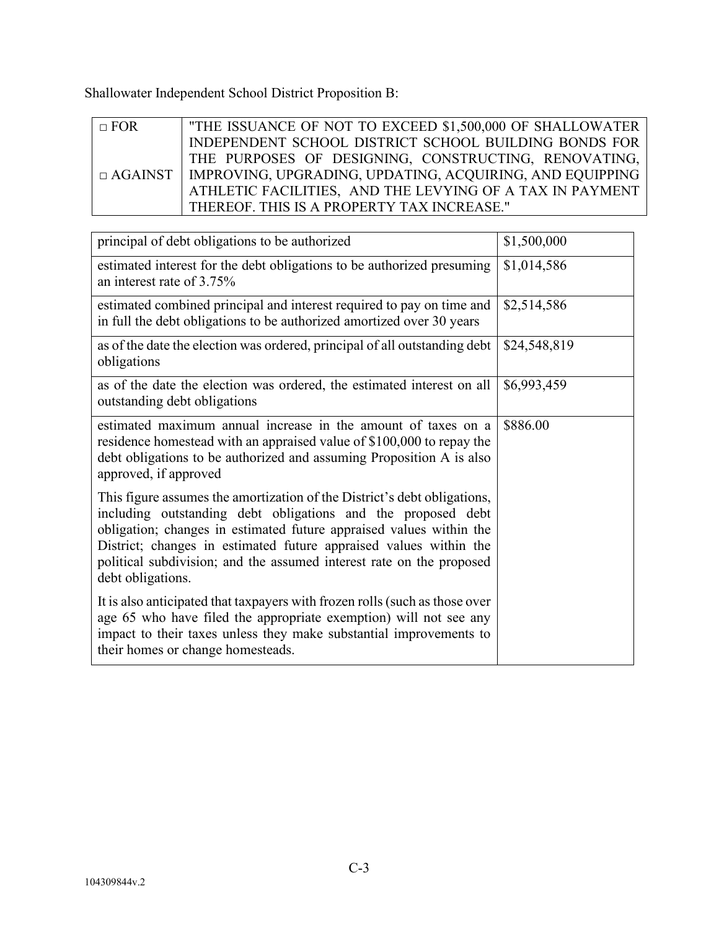Shallowater Independent School District Proposition B:

| $\Box$ FOR | "THE ISSUANCE OF NOT TO EXCEED \$1,500,000 OF SHALLOWATER                 |
|------------|---------------------------------------------------------------------------|
|            | INDEPENDENT SCHOOL DISTRICT SCHOOL BUILDING BONDS FOR                     |
|            | THE PURPOSES OF DESIGNING, CONSTRUCTING, RENOVATING,                      |
|            | $\Box$ AGAINST   IMPROVING, UPGRADING, UPDATING, ACQUIRING, AND EQUIPPING |
|            | ATHLETIC FACILITIES, AND THE LEVYING OF A TAX IN PAYMENT                  |
|            | THEREOF. THIS IS A PROPERTY TAX INCREASE."                                |

| principal of debt obligations to be authorized                                                                                                                                                                                                                                                                                                                                    | \$1,500,000  |
|-----------------------------------------------------------------------------------------------------------------------------------------------------------------------------------------------------------------------------------------------------------------------------------------------------------------------------------------------------------------------------------|--------------|
| estimated interest for the debt obligations to be authorized presuming<br>an interest rate of 3.75%                                                                                                                                                                                                                                                                               | \$1,014,586  |
| estimated combined principal and interest required to pay on time and<br>in full the debt obligations to be authorized amortized over 30 years                                                                                                                                                                                                                                    | \$2,514,586  |
| as of the date the election was ordered, principal of all outstanding debt<br>obligations                                                                                                                                                                                                                                                                                         | \$24,548,819 |
| as of the date the election was ordered, the estimated interest on all<br>outstanding debt obligations                                                                                                                                                                                                                                                                            | \$6,993,459  |
| estimated maximum annual increase in the amount of taxes on a<br>residence homestead with an appraised value of \$100,000 to repay the<br>debt obligations to be authorized and assuming Proposition A is also<br>approved, if approved                                                                                                                                           | \$886.00     |
| This figure assumes the amortization of the District's debt obligations,<br>including outstanding debt obligations and the proposed debt<br>obligation; changes in estimated future appraised values within the<br>District; changes in estimated future appraised values within the<br>political subdivision; and the assumed interest rate on the proposed<br>debt obligations. |              |
| It is also anticipated that taxpayers with frozen rolls (such as those over<br>age 65 who have filed the appropriate exemption) will not see any<br>impact to their taxes unless they make substantial improvements to<br>their homes or change homesteads.                                                                                                                       |              |